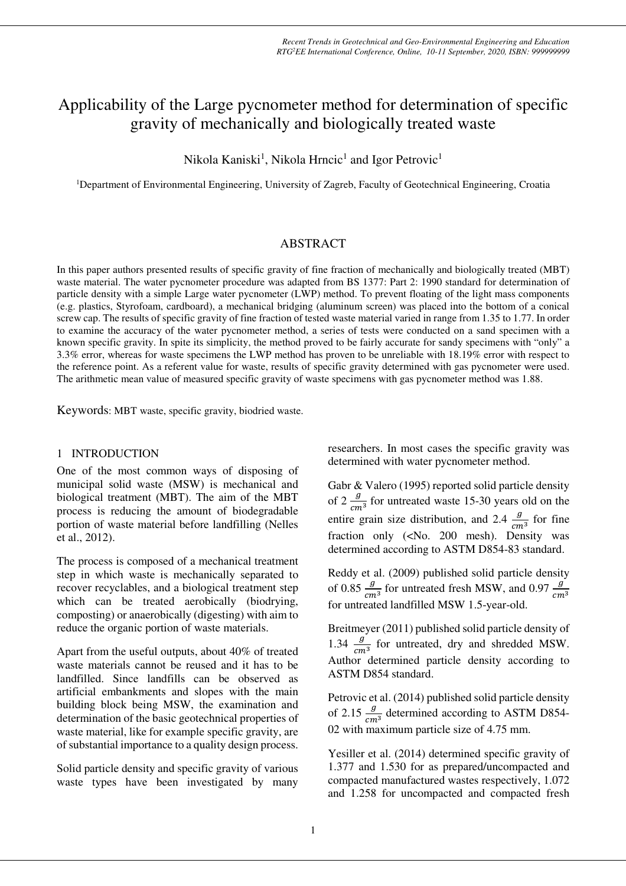# Applicability of the Large pycnometer method for determination of specific gravity of mechanically and biologically treated waste

Nikola Kaniski<sup>1</sup>, Nikola Hrncic<sup>1</sup> and Igor Petrovic<sup>1</sup>

<sup>1</sup>Department of Environmental Engineering, University of Zagreb, Faculty of Geotechnical Engineering, Croatia

# ABSTRACT

In this paper authors presented results of specific gravity of fine fraction of mechanically and biologically treated (MBT) waste material. The water pycnometer procedure was adapted from BS 1377: Part 2: 1990 standard for determination of particle density with a simple Large water pycnometer (LWP) method. To prevent floating of the light mass components (e.g. plastics, Styrofoam, cardboard), a mechanical bridging (aluminum screen) was placed into the bottom of a conical screw cap. The results of specific gravity of fine fraction of tested waste material varied in range from 1.35 to 1.77. In order to examine the accuracy of the water pycnometer method, a series of tests were conducted on a sand specimen with a known specific gravity. In spite its simplicity, the method proved to be fairly accurate for sandy specimens with "only" a 3.3% error, whereas for waste specimens the LWP method has proven to be unreliable with 18.19% error with respect to the reference point. As a referent value for waste, results of specific gravity determined with gas pycnometer were used. The arithmetic mean value of measured specific gravity of waste specimens with gas pycnometer method was 1.88.

Keywords: MBT waste, specific gravity, biodried waste.

## 1 INTRODUCTION

One of the most common ways of disposing of municipal solid waste (MSW) is mechanical and biological treatment (MBT). The aim of the MBT process is reducing the amount of biodegradable portion of waste material before landfilling (Nelles et al., 2012).

The process is composed of a mechanical treatment step in which waste is mechanically separated to recover recyclables, and a biological treatment step which can be treated aerobically (biodrying, composting) or anaerobically (digesting) with aim to reduce the organic portion of waste materials.

Apart from the useful outputs, about 40% of treated waste materials cannot be reused and it has to be landfilled. Since landfills can be observed as artificial embankments and slopes with the main building block being MSW, the examination and determination of the basic geotechnical properties of waste material, like for example specific gravity, are of substantial importance to a quality design process.

Solid particle density and specific gravity of various waste types have been investigated by many researchers. In most cases the specific gravity was determined with water pycnometer method.

Gabr & Valero (1995) reported solid particle density of 2  $\frac{g}{cm^3}$  for untreated waste 15-30 years old on the entire grain size distribution, and 2.4  $\frac{g}{cm^3}$  for fine fraction only (<No. 200 mesh). Density was determined according to ASTM D854-83 standard.

Reddy et al. (2009) published solid particle density of 0.85  $\frac{g}{cm^3}$  for untreated fresh MSW, and 0.97  $\frac{g}{cm^3}$ for untreated landfilled MSW 1.5-year-old.

Breitmeyer (2011) published solid particle density of 1.34  $\frac{g}{cm^3}$  for untreated, dry and shredded MSW. Author determined particle density according to ASTM D854 standard.

Petrovic et al. (2014) published solid particle density of 2.15  $\frac{g}{cm^3}$  determined according to ASTM D854-02 with maximum particle size of 4.75 mm.

Yesiller et al. (2014) determined specific gravity of 1.377 and 1.530 for as prepared/uncompacted and compacted manufactured wastes respectively, 1.072 and 1.258 for uncompacted and compacted fresh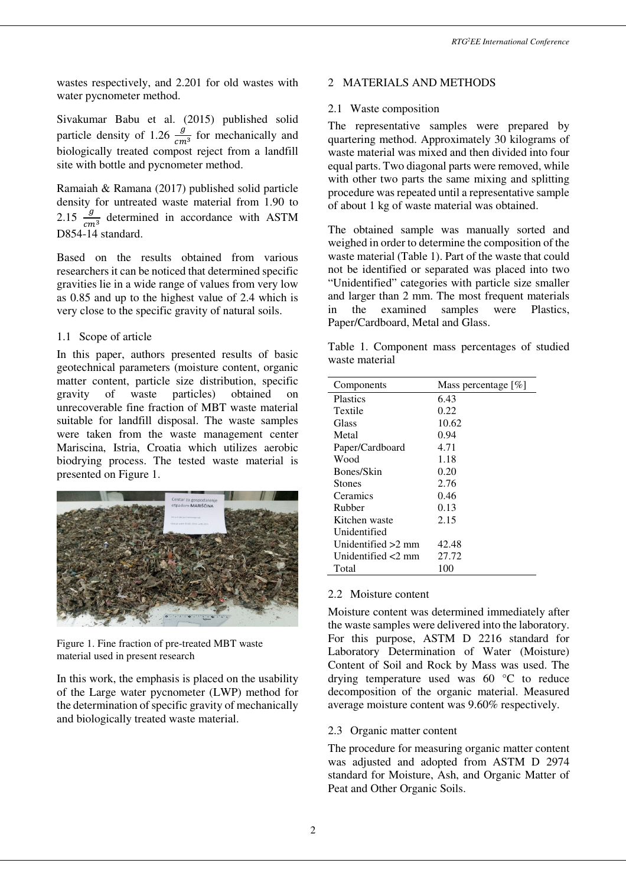wastes respectively, and 2.201 for old wastes with water pycnometer method.

Sivakumar Babu et al. (2015) published solid particle density of 1.26  $\frac{g}{cm^3}$  for mechanically and biologically treated compost reject from a landfill site with bottle and pycnometer method.

Ramaiah & Ramana (2017) published solid particle density for untreated waste material from 1.90 to 2.15  $\frac{g}{cm^3}$  determined in accordance with ASTM D854-14 standard.

Based on the results obtained from various researchers it can be noticed that determined specific gravities lie in a wide range of values from very low as 0.85 and up to the highest value of 2.4 which is very close to the specific gravity of natural soils.

## 1.1 Scope of article

In this paper, authors presented results of basic geotechnical parameters (moisture content, organic matter content, particle size distribution, specific gravity of waste particles) obtained on unrecoverable fine fraction of MBT waste material suitable for landfill disposal. The waste samples were taken from the waste management center Mariscina, Istria, Croatia which utilizes aerobic biodrying process. The tested waste material is presented on Figure 1.



Figure 1. Fine fraction of pre-treated MBT waste material used in present research

In this work, the emphasis is placed on the usability of the Large water pycnometer (LWP) method for the determination of specific gravity of mechanically and biologically treated waste material.

## 2 MATERIALS AND METHODS

#### 2.1 Waste composition

The representative samples were prepared by quartering method. Approximately 30 kilograms of waste material was mixed and then divided into four equal parts. Two diagonal parts were removed, while with other two parts the same mixing and splitting procedure was repeated until a representative sample of about 1 kg of waste material was obtained.

The obtained sample was manually sorted and weighed in order to determine the composition of the waste material (Table 1). Part of the waste that could not be identified or separated was placed into two "Unidentified" categories with particle size smaller and larger than 2 mm. The most frequent materials in the examined samples were Plastics, Paper/Cardboard, Metal and Glass.

Table 1. Component mass percentages of studied waste material

| Components         | Mass percentage $[\%]$ |
|--------------------|------------------------|
| <b>Plastics</b>    | 6.43                   |
| Textile            | 0.22.                  |
| Glass              | 10.62                  |
| Metal              | 0.94                   |
| Paper/Cardboard    | 4.71                   |
| Wood               | 1.18                   |
| Bones/Skin         | 0.20                   |
| <b>Stones</b>      | 2.76                   |
| Ceramics           | 0.46                   |
| Rubber             | 0.13                   |
| Kitchen waste      | 2.15                   |
| Unidentified       |                        |
| Unidentified >2 mm | 42.48                  |
| Unidentified <2 mm | 27.72                  |
| Total              | 100                    |

#### 2.2 Moisture content

Moisture content was determined immediately after the waste samples were delivered into the laboratory. For this purpose, ASTM D 2216 standard for Laboratory Determination of Water (Moisture) Content of Soil and Rock by Mass was used. The drying temperature used was 60 °C to reduce decomposition of the organic material. Measured average moisture content was 9.60% respectively.

## 2.3 Organic matter content

The procedure for measuring organic matter content was adjusted and adopted from ASTM D 2974 standard for Moisture, Ash, and Organic Matter of Peat and Other Organic Soils.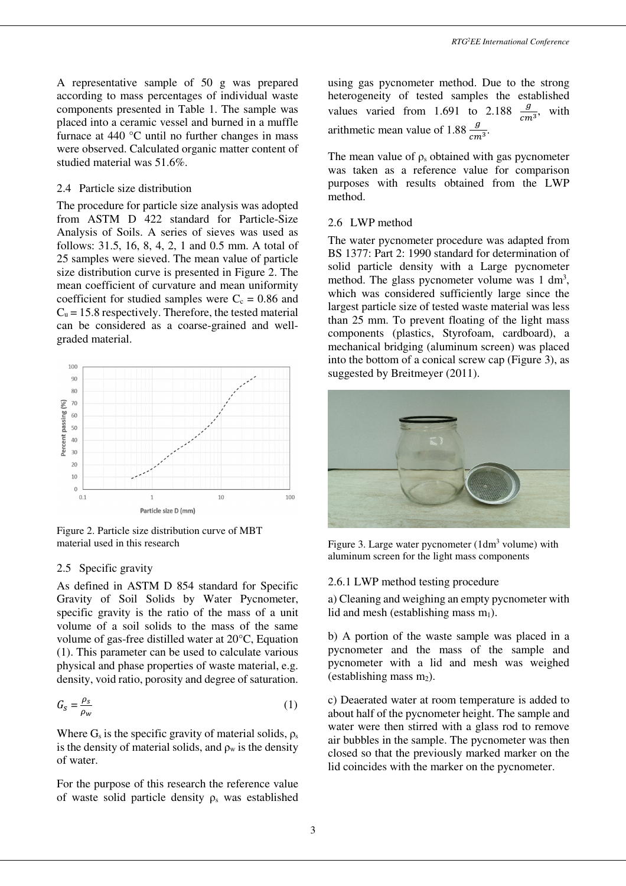A representative sample of 50 g was prepared according to mass percentages of individual waste components presented in Table 1. The sample was placed into a ceramic vessel and burned in a muffle furnace at 440 °C until no further changes in mass were observed. Calculated organic matter content of studied material was 51.6%.

#### 2.4 Particle size distribution

The procedure for particle size analysis was adopted from ASTM D 422 standard for Particle-Size Analysis of Soils. A series of sieves was used as follows: 31.5, 16, 8, 4, 2, 1 and 0.5 mm. A total of 25 samples were sieved. The mean value of particle size distribution curve is presented in Figure 2. The mean coefficient of curvature and mean uniformity coefficient for studied samples were  $C_c = 0.86$  and  $C<sub>u</sub> = 15.8$  respectively. Therefore, the tested material can be considered as a coarse-grained and wellgraded material.



Figure 2. Particle size distribution curve of MBT material used in this research

## 2.5 Specific gravity

As defined in ASTM D 854 standard for Specific Gravity of Soil Solids by Water Pycnometer, specific gravity is the ratio of the mass of a unit volume of a soil solids to the mass of the same volume of gas-free distilled water at 20°C, Equation (1). This parameter can be used to calculate various physical and phase properties of waste material, e.g. density, void ratio, porosity and degree of saturation.

$$
G_S = \frac{\rho_S}{\rho_w} \tag{1}
$$

Where  $G_s$  is the specific gravity of material solids,  $\rho_s$ is the density of material solids, and  $\rho_w$  is the density of water.

For the purpose of this research the reference value of waste solid particle density  $\rho_s$  was established using gas pycnometer method. Due to the strong heterogeneity of tested samples the established values varied from 1.691 to 2.188  $\frac{g}{cm^3}$ , with arithmetic mean value of 1.88  $\frac{g}{cm^3}$ .

The mean value of  $\rho_s$  obtained with gas pycnometer was taken as a reference value for comparison purposes with results obtained from the LWP method.

## 2.6 LWP method

The water pycnometer procedure was adapted from BS 1377: Part 2: 1990 standard for determination of solid particle density with a Large pycnometer method. The glass pycnometer volume was  $1 \text{ dm}^3$ , which was considered sufficiently large since the largest particle size of tested waste material was less than 25 mm. To prevent floating of the light mass components (plastics, Styrofoam, cardboard), a mechanical bridging (aluminum screen) was placed into the bottom of a conical screw cap (Figure 3), as suggested by Breitmeyer (2011).



Figure 3. Large water pycnometer (1dm<sup>3</sup> volume) with aluminum screen for the light mass components

#### 2.6.1 LWP method testing procedure

a) Cleaning and weighing an empty pycnometer with lid and mesh (establishing mass  $m_1$ ).

b) A portion of the waste sample was placed in a pycnometer and the mass of the sample and pycnometer with a lid and mesh was weighed (establishing mass  $m_2$ ).

c) Deaerated water at room temperature is added to about half of the pycnometer height. The sample and water were then stirred with a glass rod to remove air bubbles in the sample. The pycnometer was then closed so that the previously marked marker on the lid coincides with the marker on the pycnometer.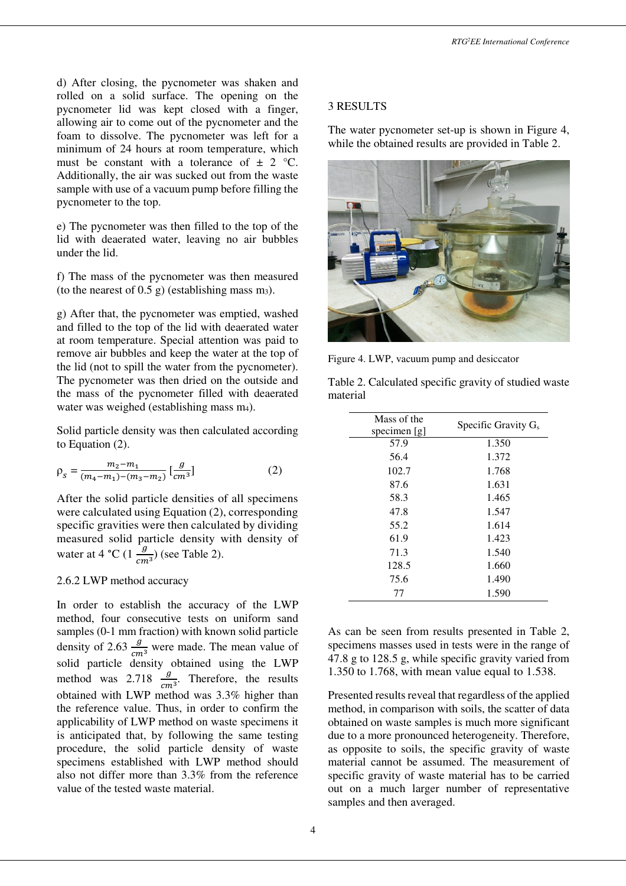d) After closing, the pycnometer was shaken and rolled on a solid surface. The opening on the pycnometer lid was kept closed with a finger, allowing air to come out of the pycnometer and the foam to dissolve. The pycnometer was left for a minimum of 24 hours at room temperature, which must be constant with a tolerance of  $\pm$  2 °C. Additionally, the air was sucked out from the waste sample with use of a vacuum pump before filling the pycnometer to the top.

e) The pycnometer was then filled to the top of the lid with deaerated water, leaving no air bubbles under the lid.

f) The mass of the pycnometer was then measured (to the nearest of 0.5 g) (establishing mass  $m_3$ ).

g) After that, the pycnometer was emptied, washed and filled to the top of the lid with deaerated water at room temperature. Special attention was paid to remove air bubbles and keep the water at the top of the lid (not to spill the water from the pycnometer). The pycnometer was then dried on the outside and the mass of the pycnometer filled with deaerated water was weighed (establishing mass m<sub>4</sub>).

Solid particle density was then calculated according to Equation (2).

$$
\rho_s = \frac{m_2 - m_1}{(m_4 - m_1) - (m_3 - m_2)} \left[\frac{g}{cm^3}\right] \tag{2}
$$

After the solid particle densities of all specimens were calculated using Equation (2), corresponding specific gravities were then calculated by dividing measured solid particle density with density of water at 4 °C (1 $\frac{g}{cm^3}$ ) (see Table 2).

#### 2.6.2 LWP method accuracy

In order to establish the accuracy of the LWP method, four consecutive tests on uniform sand samples (0-1 mm fraction) with known solid particle density of 2.63  $\frac{g}{cm^3}$  were made. The mean value of solid particle density obtained using the LWP method was 2.718  $\frac{g}{cm^3}$ . Therefore, the results obtained with LWP method was 3.3% higher than the reference value. Thus, in order to confirm the applicability of LWP method on waste specimens it is anticipated that, by following the same testing procedure, the solid particle density of waste specimens established with LWP method should also not differ more than 3.3% from the reference value of the tested waste material.

4

#### 3 RESULTS

The water pycnometer set-up is shown in Figure 4, while the obtained results are provided in Table 2.



Figure 4. LWP, vacuum pump and desiccator

| Specific Gravity $G_s$ |
|------------------------|
| 1.350                  |
| 1.372                  |
| 1.768                  |
| 1.631                  |
| 1.465                  |
| 1.547                  |
| 1.614                  |
| 1.423                  |
| 1.540                  |
| 1.660                  |
| 1.490                  |
| 1.590                  |
|                        |

Table 2. Calculated specific gravity of studied waste material

As can be seen from results presented in Table 2, specimens masses used in tests were in the range of 47.8 g to 128.5 g, while specific gravity varied from 1.350 to 1.768, with mean value equal to 1.538.

Presented results reveal that regardless of the applied method, in comparison with soils, the scatter of data obtained on waste samples is much more significant due to a more pronounced heterogeneity. Therefore, as opposite to soils, the specific gravity of waste material cannot be assumed. The measurement of specific gravity of waste material has to be carried out on a much larger number of representative samples and then averaged.